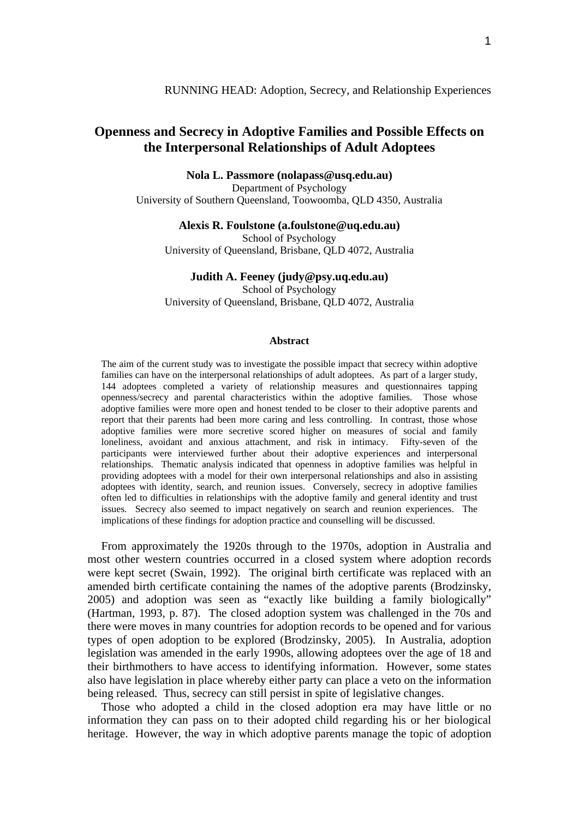# **Openness and Secrecy in Adoptive Families and Possible Effects on the Interpersonal Relationships of Adult Adoptees**

**Nola L. Passmore (nolapass@usq.edu.au)** 

Department of Psychology University of Southern Queensland, Toowoomba, QLD 4350, Australia

**Alexis R. Foulstone (a.foulstone@uq.edu.au)** 

School of Psychology University of Queensland, Brisbane, QLD 4072, Australia

## **Judith A. Feeney (judy@psy.uq.edu.au)**

School of Psychology University of Queensland, Brisbane, QLD 4072, Australia

#### **Abstract**

The aim of the current study was to investigate the possible impact that secrecy within adoptive families can have on the interpersonal relationships of adult adoptees. As part of a larger study, 144 adoptees completed a variety of relationship measures and questionnaires tapping openness/secrecy and parental characteristics within the adoptive families. Those whose adoptive families were more open and honest tended to be closer to their adoptive parents and report that their parents had been more caring and less controlling. In contrast, those whose adoptive families were more secretive scored higher on measures of social and family loneliness, avoidant and anxious attachment, and risk in intimacy. Fifty-seven of the participants were interviewed further about their adoptive experiences and interpersonal relationships. Thematic analysis indicated that openness in adoptive families was helpful in providing adoptees with a model for their own interpersonal relationships and also in assisting adoptees with identity, search, and reunion issues. Conversely, secrecy in adoptive families often led to difficulties in relationships with the adoptive family and general identity and trust issues. Secrecy also seemed to impact negatively on search and reunion experiences. The implications of these findings for adoption practice and counselling will be discussed.

From approximately the 1920s through to the 1970s, adoption in Australia and most other western countries occurred in a closed system where adoption records were kept secret (Swain, 1992). The original birth certificate was replaced with an amended birth certificate containing the names of the adoptive parents (Brodzinsky, 2005) and adoption was seen as "exactly like building a family biologically" (Hartman, 1993, p. 87). The closed adoption system was challenged in the 70s and there were moves in many countries for adoption records to be opened and for various types of open adoption to be explored (Brodzinsky, 2005). In Australia, adoption legislation was amended in the early 1990s, allowing adoptees over the age of 18 and their birthmothers to have access to identifying information. However, some states also have legislation in place whereby either party can place a veto on the information being released. Thus, secrecy can still persist in spite of legislative changes.

Those who adopted a child in the closed adoption era may have little or no information they can pass on to their adopted child regarding his or her biological heritage. However, the way in which adoptive parents manage the topic of adoption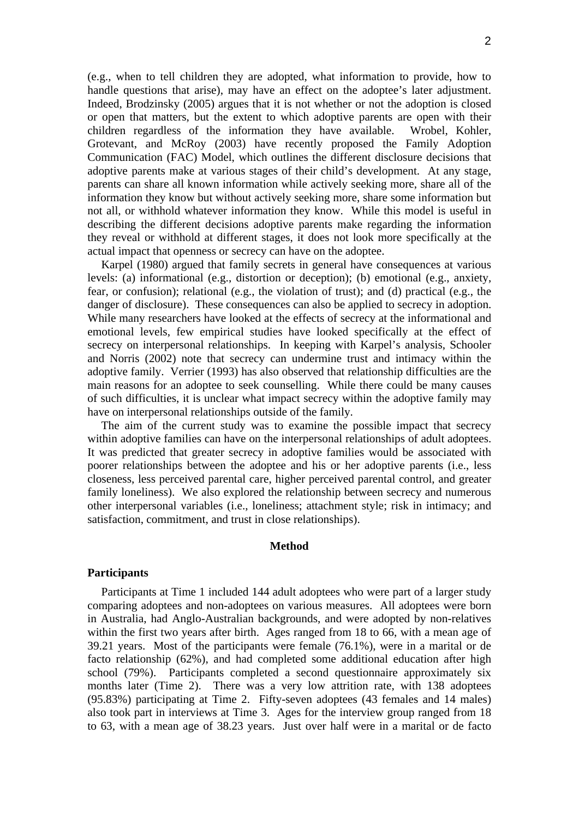(e.g., when to tell children they are adopted, what information to provide, how to handle questions that arise), may have an effect on the adoptee's later adjustment. Indeed, Brodzinsky (2005) argues that it is not whether or not the adoption is closed or open that matters, but the extent to which adoptive parents are open with their children regardless of the information they have available. Wrobel, Kohler, Grotevant, and McRoy (2003) have recently proposed the Family Adoption Communication (FAC) Model, which outlines the different disclosure decisions that adoptive parents make at various stages of their child's development. At any stage, parents can share all known information while actively seeking more, share all of the information they know but without actively seeking more, share some information but not all, or withhold whatever information they know. While this model is useful in describing the different decisions adoptive parents make regarding the information they reveal or withhold at different stages, it does not look more specifically at the actual impact that openness or secrecy can have on the adoptee.

Karpel (1980) argued that family secrets in general have consequences at various levels: (a) informational (e.g., distortion or deception); (b) emotional (e.g., anxiety, fear, or confusion); relational (e.g., the violation of trust); and (d) practical (e.g., the danger of disclosure). These consequences can also be applied to secrecy in adoption. While many researchers have looked at the effects of secrecy at the informational and emotional levels, few empirical studies have looked specifically at the effect of secrecy on interpersonal relationships. In keeping with Karpel's analysis, Schooler and Norris (2002) note that secrecy can undermine trust and intimacy within the adoptive family. Verrier (1993) has also observed that relationship difficulties are the main reasons for an adoptee to seek counselling. While there could be many causes of such difficulties, it is unclear what impact secrecy within the adoptive family may have on interpersonal relationships outside of the family.

The aim of the current study was to examine the possible impact that secrecy within adoptive families can have on the interpersonal relationships of adult adoptees. It was predicted that greater secrecy in adoptive families would be associated with poorer relationships between the adoptee and his or her adoptive parents (i.e., less closeness, less perceived parental care, higher perceived parental control, and greater family loneliness). We also explored the relationship between secrecy and numerous other interpersonal variables (i.e., loneliness; attachment style; risk in intimacy; and satisfaction, commitment, and trust in close relationships).

## **Method**

### **Participants**

Participants at Time 1 included 144 adult adoptees who were part of a larger study comparing adoptees and non-adoptees on various measures. All adoptees were born in Australia, had Anglo-Australian backgrounds, and were adopted by non-relatives within the first two years after birth. Ages ranged from 18 to 66, with a mean age of 39.21 years. Most of the participants were female (76.1%), were in a marital or de facto relationship (62%), and had completed some additional education after high school (79%). Participants completed a second questionnaire approximately six months later (Time 2). There was a very low attrition rate, with 138 adoptees (95.83%) participating at Time 2. Fifty-seven adoptees (43 females and 14 males) also took part in interviews at Time 3. Ages for the interview group ranged from 18 to 63, with a mean age of 38.23 years. Just over half were in a marital or de facto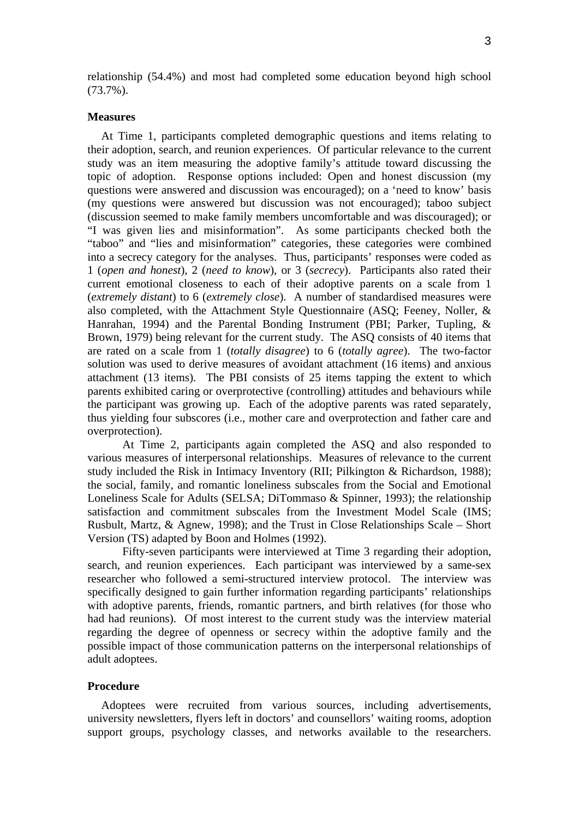relationship (54.4%) and most had completed some education beyond high school (73.7%).

#### **Measures**

At Time 1, participants completed demographic questions and items relating to their adoption, search, and reunion experiences. Of particular relevance to the current study was an item measuring the adoptive family's attitude toward discussing the topic of adoption. Response options included: Open and honest discussion (my questions were answered and discussion was encouraged); on a 'need to know' basis (my questions were answered but discussion was not encouraged); taboo subject (discussion seemed to make family members uncomfortable and was discouraged); or "I was given lies and misinformation". As some participants checked both the "taboo" and "lies and misinformation" categories, these categories were combined into a secrecy category for the analyses. Thus, participants' responses were coded as 1 (*open and honest*), 2 (*need to know*), or 3 (*secrecy*). Participants also rated their current emotional closeness to each of their adoptive parents on a scale from 1 (*extremely distant*) to 6 (*extremely close*). A number of standardised measures were also completed, with the Attachment Style Questionnaire (ASQ; Feeney, Noller, & Hanrahan, 1994) and the Parental Bonding Instrument (PBI; Parker, Tupling, & Brown, 1979) being relevant for the current study. The ASQ consists of 40 items that are rated on a scale from 1 (*totally disagree*) to 6 (*totally agree*). The two-factor solution was used to derive measures of avoidant attachment (16 items) and anxious attachment (13 items). The PBI consists of 25 items tapping the extent to which parents exhibited caring or overprotective (controlling) attitudes and behaviours while the participant was growing up. Each of the adoptive parents was rated separately, thus yielding four subscores (i.e., mother care and overprotection and father care and overprotection).

 At Time 2, participants again completed the ASQ and also responded to various measures of interpersonal relationships. Measures of relevance to the current study included the Risk in Intimacy Inventory (RII; Pilkington & Richardson, 1988); the social, family, and romantic loneliness subscales from the Social and Emotional Loneliness Scale for Adults (SELSA; DiTommaso & Spinner, 1993); the relationship satisfaction and commitment subscales from the Investment Model Scale (IMS; Rusbult, Martz, & Agnew, 1998); and the Trust in Close Relationships Scale – Short Version (TS) adapted by Boon and Holmes (1992).

 Fifty-seven participants were interviewed at Time 3 regarding their adoption, search, and reunion experiences. Each participant was interviewed by a same-sex researcher who followed a semi-structured interview protocol. The interview was specifically designed to gain further information regarding participants' relationships with adoptive parents, friends, romantic partners, and birth relatives (for those who had had reunions). Of most interest to the current study was the interview material regarding the degree of openness or secrecy within the adoptive family and the possible impact of those communication patterns on the interpersonal relationships of adult adoptees.

## **Procedure**

Adoptees were recruited from various sources, including advertisements, university newsletters, flyers left in doctors' and counsellors' waiting rooms, adoption support groups, psychology classes, and networks available to the researchers.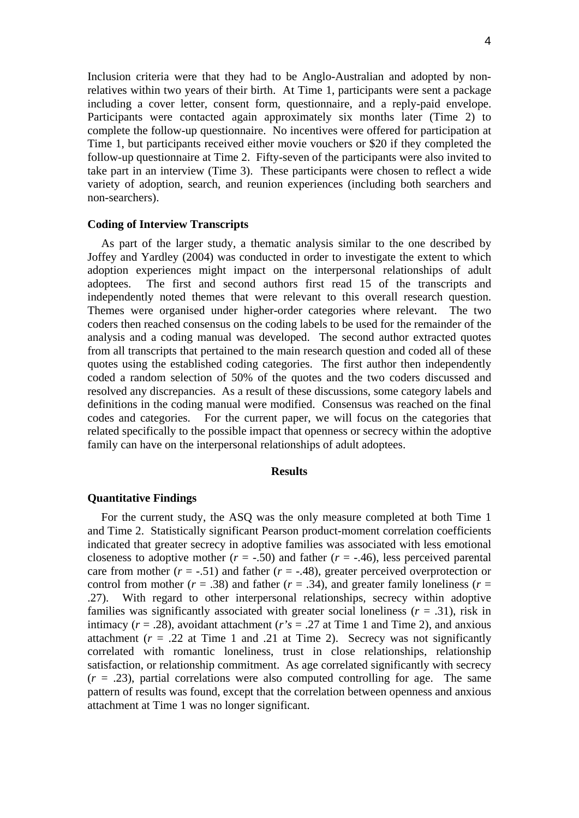Inclusion criteria were that they had to be Anglo-Australian and adopted by nonrelatives within two years of their birth. At Time 1, participants were sent a package including a cover letter, consent form, questionnaire, and a reply-paid envelope. Participants were contacted again approximately six months later (Time 2) to complete the follow-up questionnaire. No incentives were offered for participation at Time 1, but participants received either movie vouchers or \$20 if they completed the follow-up questionnaire at Time 2. Fifty-seven of the participants were also invited to take part in an interview (Time 3). These participants were chosen to reflect a wide variety of adoption, search, and reunion experiences (including both searchers and non-searchers).

## **Coding of Interview Transcripts**

As part of the larger study, a thematic analysis similar to the one described by Joffey and Yardley (2004) was conducted in order to investigate the extent to which adoption experiences might impact on the interpersonal relationships of adult adoptees. The first and second authors first read 15 of the transcripts and independently noted themes that were relevant to this overall research question. Themes were organised under higher-order categories where relevant. The two coders then reached consensus on the coding labels to be used for the remainder of the analysis and a coding manual was developed. The second author extracted quotes from all transcripts that pertained to the main research question and coded all of these quotes using the established coding categories. The first author then independently coded a random selection of 50% of the quotes and the two coders discussed and resolved any discrepancies. As a result of these discussions, some category labels and definitions in the coding manual were modified. Consensus was reached on the final codes and categories. For the current paper, we will focus on the categories that related specifically to the possible impact that openness or secrecy within the adoptive family can have on the interpersonal relationships of adult adoptees.

#### **Results**

### **Quantitative Findings**

For the current study, the ASQ was the only measure completed at both Time 1 and Time 2. Statistically significant Pearson product-moment correlation coefficients indicated that greater secrecy in adoptive families was associated with less emotional closeness to adoptive mother  $(r = -.50)$  and father  $(r = -.46)$ , less perceived parental care from mother  $(r = -.51)$  and father  $(r = -.48)$ , greater perceived overprotection or control from mother ( $r = .38$ ) and father ( $r = .34$ ), and greater family loneliness ( $r =$ .27). With regard to other interpersonal relationships, secrecy within adoptive families was significantly associated with greater social loneliness  $(r = .31)$ , risk in intimacy  $(r = .28)$ , avoidant attachment  $(r's = .27$  at Time 1 and Time 2), and anxious attachment  $(r = .22$  at Time 1 and .21 at Time 2). Secrecy was not significantly correlated with romantic loneliness, trust in close relationships, relationship satisfaction, or relationship commitment. As age correlated significantly with secrecy  $(r = .23)$ , partial correlations were also computed controlling for age. The same pattern of results was found, except that the correlation between openness and anxious attachment at Time 1 was no longer significant.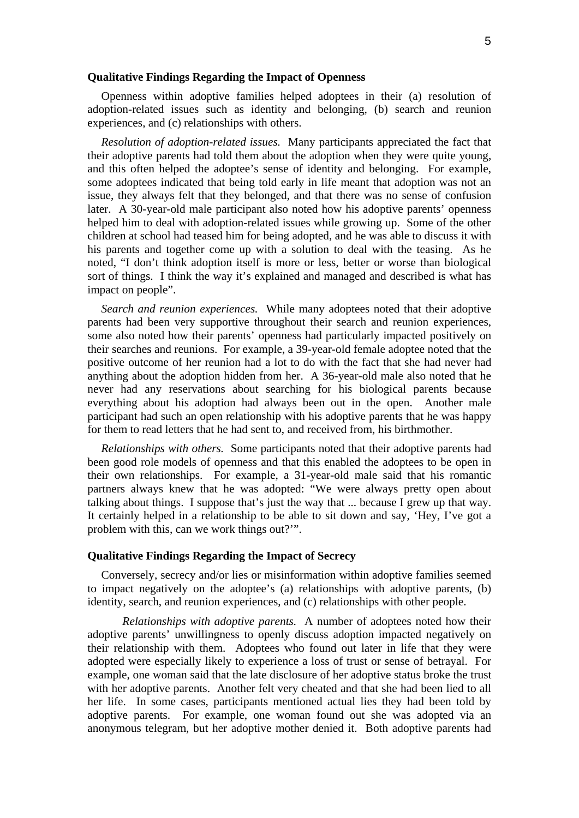## **Qualitative Findings Regarding the Impact of Openness**

Openness within adoptive families helped adoptees in their (a) resolution of adoption-related issues such as identity and belonging, (b) search and reunion experiences, and (c) relationships with others.

*Resolution of adoption-related issues.* Many participants appreciated the fact that their adoptive parents had told them about the adoption when they were quite young, and this often helped the adoptee's sense of identity and belonging. For example, some adoptees indicated that being told early in life meant that adoption was not an issue, they always felt that they belonged, and that there was no sense of confusion later. A 30-year-old male participant also noted how his adoptive parents' openness helped him to deal with adoption-related issues while growing up. Some of the other children at school had teased him for being adopted, and he was able to discuss it with his parents and together come up with a solution to deal with the teasing. As he noted, "I don't think adoption itself is more or less, better or worse than biological sort of things. I think the way it's explained and managed and described is what has impact on people".

*Search and reunion experiences.* While many adoptees noted that their adoptive parents had been very supportive throughout their search and reunion experiences, some also noted how their parents' openness had particularly impacted positively on their searches and reunions. For example, a 39-year-old female adoptee noted that the positive outcome of her reunion had a lot to do with the fact that she had never had anything about the adoption hidden from her. A 36-year-old male also noted that he never had any reservations about searching for his biological parents because everything about his adoption had always been out in the open. Another male participant had such an open relationship with his adoptive parents that he was happy for them to read letters that he had sent to, and received from, his birthmother.

*Relationships with others.* Some participants noted that their adoptive parents had been good role models of openness and that this enabled the adoptees to be open in their own relationships. For example, a 31-year-old male said that his romantic partners always knew that he was adopted: "We were always pretty open about talking about things. I suppose that's just the way that ... because I grew up that way. It certainly helped in a relationship to be able to sit down and say, 'Hey, I've got a problem with this, can we work things out?'".

## **Qualitative Findings Regarding the Impact of Secrecy**

Conversely, secrecy and/or lies or misinformation within adoptive families seemed to impact negatively on the adoptee's (a) relationships with adoptive parents, (b) identity, search, and reunion experiences, and (c) relationships with other people.

*Relationships with adoptive parents.* A number of adoptees noted how their adoptive parents' unwillingness to openly discuss adoption impacted negatively on their relationship with them. Adoptees who found out later in life that they were adopted were especially likely to experience a loss of trust or sense of betrayal. For example, one woman said that the late disclosure of her adoptive status broke the trust with her adoptive parents. Another felt very cheated and that she had been lied to all her life. In some cases, participants mentioned actual lies they had been told by adoptive parents. For example, one woman found out she was adopted via an anonymous telegram, but her adoptive mother denied it. Both adoptive parents had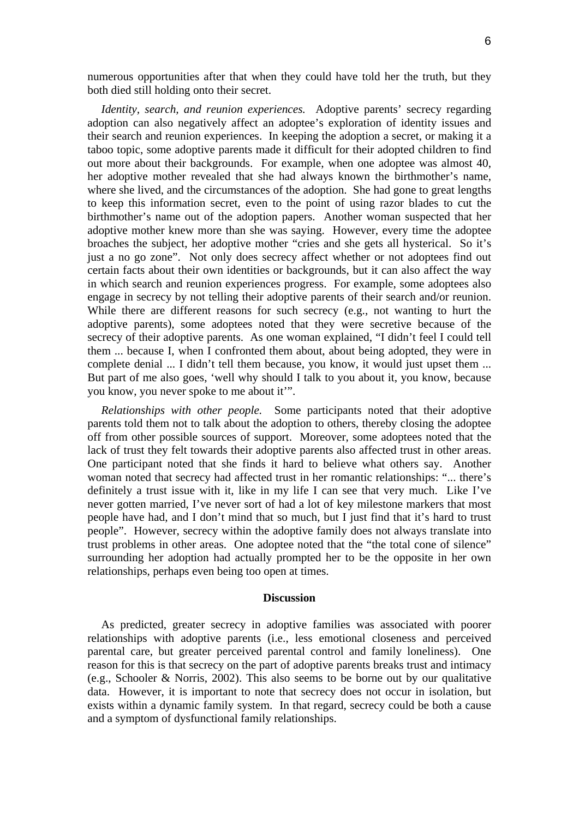numerous opportunities after that when they could have told her the truth, but they both died still holding onto their secret.

*Identity, search, and reunion experiences.* Adoptive parents' secrecy regarding adoption can also negatively affect an adoptee's exploration of identity issues and their search and reunion experiences. In keeping the adoption a secret, or making it a taboo topic, some adoptive parents made it difficult for their adopted children to find out more about their backgrounds. For example, when one adoptee was almost 40, her adoptive mother revealed that she had always known the birthmother's name, where she lived, and the circumstances of the adoption. She had gone to great lengths to keep this information secret, even to the point of using razor blades to cut the birthmother's name out of the adoption papers. Another woman suspected that her adoptive mother knew more than she was saying. However, every time the adoptee broaches the subject, her adoptive mother "cries and she gets all hysterical. So it's just a no go zone". Not only does secrecy affect whether or not adoptees find out certain facts about their own identities or backgrounds, but it can also affect the way in which search and reunion experiences progress. For example, some adoptees also engage in secrecy by not telling their adoptive parents of their search and/or reunion. While there are different reasons for such secrecy (e.g., not wanting to hurt the adoptive parents), some adoptees noted that they were secretive because of the secrecy of their adoptive parents. As one woman explained, "I didn't feel I could tell them ... because I, when I confronted them about, about being adopted, they were in complete denial ... I didn't tell them because, you know, it would just upset them ... But part of me also goes, 'well why should I talk to you about it, you know, because you know, you never spoke to me about it'".

*Relationships with other people.* Some participants noted that their adoptive parents told them not to talk about the adoption to others, thereby closing the adoptee off from other possible sources of support. Moreover, some adoptees noted that the lack of trust they felt towards their adoptive parents also affected trust in other areas. One participant noted that she finds it hard to believe what others say. Another woman noted that secrecy had affected trust in her romantic relationships: "... there's definitely a trust issue with it, like in my life I can see that very much. Like I've never gotten married, I've never sort of had a lot of key milestone markers that most people have had, and I don't mind that so much, but I just find that it's hard to trust people". However, secrecy within the adoptive family does not always translate into trust problems in other areas. One adoptee noted that the "the total cone of silence" surrounding her adoption had actually prompted her to be the opposite in her own relationships, perhaps even being too open at times.

#### **Discussion**

As predicted, greater secrecy in adoptive families was associated with poorer relationships with adoptive parents (i.e., less emotional closeness and perceived parental care, but greater perceived parental control and family loneliness). One reason for this is that secrecy on the part of adoptive parents breaks trust and intimacy (e.g., Schooler & Norris, 2002). This also seems to be borne out by our qualitative data. However, it is important to note that secrecy does not occur in isolation, but exists within a dynamic family system. In that regard, secrecy could be both a cause and a symptom of dysfunctional family relationships.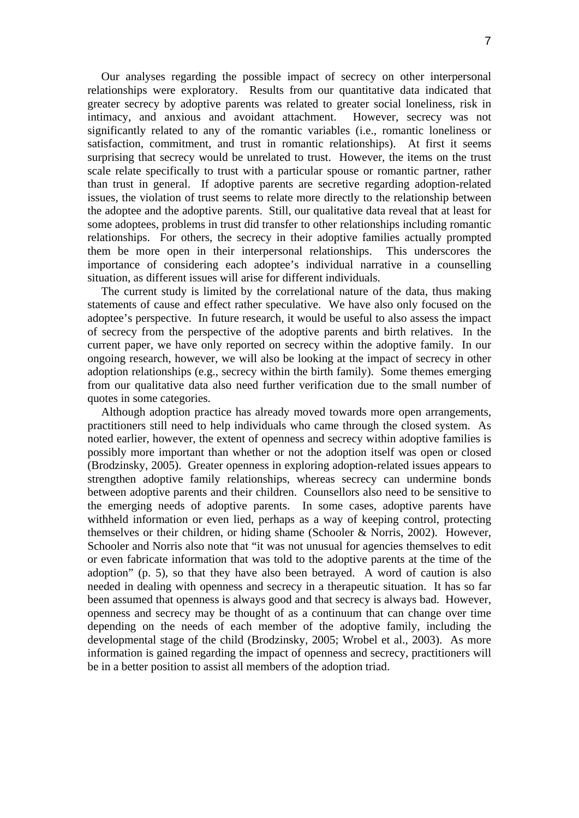Our analyses regarding the possible impact of secrecy on other interpersonal relationships were exploratory. Results from our quantitative data indicated that greater secrecy by adoptive parents was related to greater social loneliness, risk in intimacy, and anxious and avoidant attachment. However, secrecy was not significantly related to any of the romantic variables (i.e., romantic loneliness or satisfaction, commitment, and trust in romantic relationships). At first it seems surprising that secrecy would be unrelated to trust. However, the items on the trust scale relate specifically to trust with a particular spouse or romantic partner, rather than trust in general. If adoptive parents are secretive regarding adoption-related issues, the violation of trust seems to relate more directly to the relationship between the adoptee and the adoptive parents. Still, our qualitative data reveal that at least for some adoptees, problems in trust did transfer to other relationships including romantic relationships. For others, the secrecy in their adoptive families actually prompted them be more open in their interpersonal relationships. This underscores the importance of considering each adoptee's individual narrative in a counselling situation, as different issues will arise for different individuals.

The current study is limited by the correlational nature of the data, thus making statements of cause and effect rather speculative. We have also only focused on the adoptee's perspective. In future research, it would be useful to also assess the impact of secrecy from the perspective of the adoptive parents and birth relatives. In the current paper, we have only reported on secrecy within the adoptive family. In our ongoing research, however, we will also be looking at the impact of secrecy in other adoption relationships (e.g., secrecy within the birth family). Some themes emerging from our qualitative data also need further verification due to the small number of quotes in some categories.

Although adoption practice has already moved towards more open arrangements, practitioners still need to help individuals who came through the closed system. As noted earlier, however, the extent of openness and secrecy within adoptive families is possibly more important than whether or not the adoption itself was open or closed (Brodzinsky, 2005). Greater openness in exploring adoption-related issues appears to strengthen adoptive family relationships, whereas secrecy can undermine bonds between adoptive parents and their children. Counsellors also need to be sensitive to the emerging needs of adoptive parents. In some cases, adoptive parents have withheld information or even lied, perhaps as a way of keeping control, protecting themselves or their children, or hiding shame (Schooler & Norris, 2002). However, Schooler and Norris also note that "it was not unusual for agencies themselves to edit or even fabricate information that was told to the adoptive parents at the time of the adoption" (p. 5), so that they have also been betrayed. A word of caution is also needed in dealing with openness and secrecy in a therapeutic situation. It has so far been assumed that openness is always good and that secrecy is always bad. However, openness and secrecy may be thought of as a continuum that can change over time depending on the needs of each member of the adoptive family, including the developmental stage of the child (Brodzinsky, 2005; Wrobel et al., 2003). As more information is gained regarding the impact of openness and secrecy, practitioners will be in a better position to assist all members of the adoption triad.